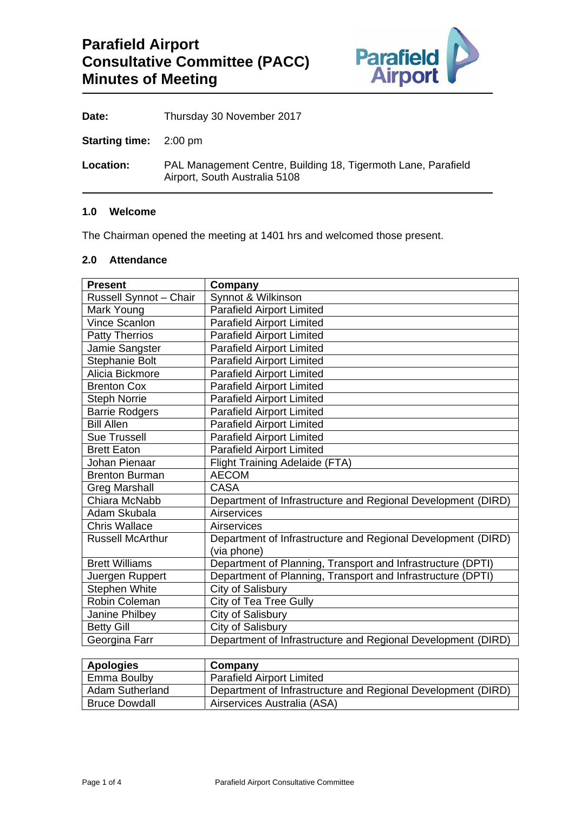

| Date: | Thursday 30 November 2017 |
|-------|---------------------------|
|-------|---------------------------|

**Starting time:** 2:00 pm

**Location:** PAL Management Centre, Building 18, Tigermoth Lane, Parafield Airport, South Australia 5108

## **1.0 Welcome**

The Chairman opened the meeting at 1401 hrs and welcomed those present.

# **2.0 Attendance**

| <b>Present</b>          | Company                                                      |
|-------------------------|--------------------------------------------------------------|
| Russell Synnot - Chair  | Synnot & Wilkinson                                           |
| Mark Young              | <b>Parafield Airport Limited</b>                             |
| <b>Vince Scanlon</b>    | <b>Parafield Airport Limited</b>                             |
| <b>Patty Therrios</b>   | <b>Parafield Airport Limited</b>                             |
| Jamie Sangster          | <b>Parafield Airport Limited</b>                             |
| Stephanie Bolt          | <b>Parafield Airport Limited</b>                             |
| Alicia Bickmore         | <b>Parafield Airport Limited</b>                             |
| <b>Brenton Cox</b>      | <b>Parafield Airport Limited</b>                             |
| <b>Steph Norrie</b>     | <b>Parafield Airport Limited</b>                             |
| <b>Barrie Rodgers</b>   | <b>Parafield Airport Limited</b>                             |
| <b>Bill Allen</b>       | <b>Parafield Airport Limited</b>                             |
| <b>Sue Trussell</b>     | <b>Parafield Airport Limited</b>                             |
| <b>Brett Eaton</b>      | <b>Parafield Airport Limited</b>                             |
| Johan Pienaar           | <b>Flight Training Adelaide (FTA)</b>                        |
| <b>Brenton Burman</b>   | <b>AECOM</b>                                                 |
| <b>Greg Marshall</b>    | <b>CASA</b>                                                  |
| Chiara McNabb           | Department of Infrastructure and Regional Development (DIRD) |
| Adam Skubala            | Airservices                                                  |
| <b>Chris Wallace</b>    | Airservices                                                  |
| <b>Russell McArthur</b> | Department of Infrastructure and Regional Development (DIRD) |
|                         | (via phone)                                                  |
| <b>Brett Williams</b>   | Department of Planning, Transport and Infrastructure (DPTI)  |
| Juergen Ruppert         | Department of Planning, Transport and Infrastructure (DPTI)  |
| <b>Stephen White</b>    | City of Salisbury                                            |
| Robin Coleman           | City of Tea Tree Gully                                       |
| Janine Philbey          | City of Salisbury                                            |
| <b>Betty Gill</b>       | City of Salisbury                                            |
| Georgina Farr           | Department of Infrastructure and Regional Development (DIRD) |

| <b>Apologies</b>       | Company                                                      |
|------------------------|--------------------------------------------------------------|
| Emma Boulby            | <b>Parafield Airport Limited</b>                             |
| <b>Adam Sutherland</b> | Department of Infrastructure and Regional Development (DIRD) |
| <b>Bruce Dowdall</b>   | Airservices Australia (ASA)                                  |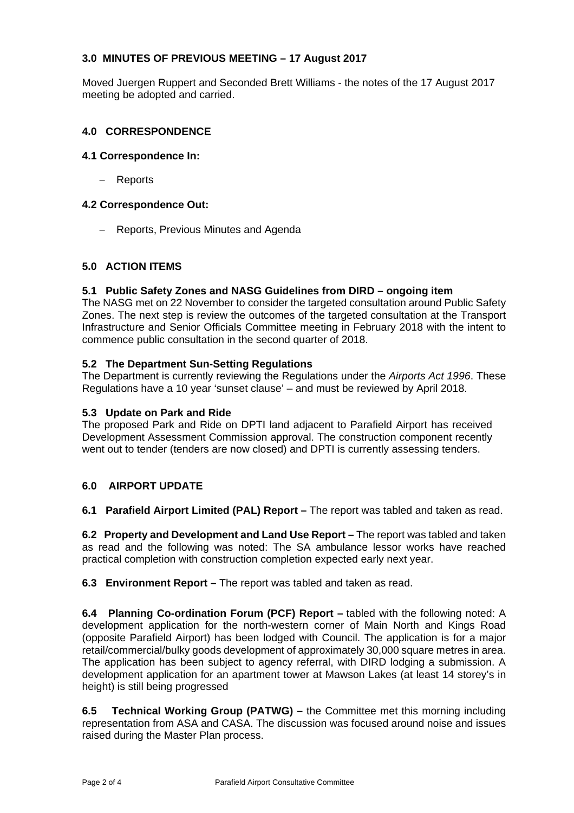# **3.0 MINUTES OF PREVIOUS MEETING – 17 August 2017**

Moved Juergen Ruppert and Seconded Brett Williams - the notes of the 17 August 2017 meeting be adopted and carried.

## **4.0 CORRESPONDENCE**

#### **4.1 Correspondence In:**

Reports

## **4.2 Correspondence Out:**

- Reports, Previous Minutes and Agenda

# **5.0 ACTION ITEMS**

## **5.1 Public Safety Zones and NASG Guidelines from DIRD – ongoing item**

The NASG met on 22 November to consider the targeted consultation around Public Safety Zones. The next step is review the outcomes of the targeted consultation at the Transport Infrastructure and Senior Officials Committee meeting in February 2018 with the intent to commence public consultation in the second quarter of 2018.

## **5.2 The Department Sun-Setting Regulations**

The Department is currently reviewing the Regulations under the *Airports Act 1996*. These Regulations have a 10 year 'sunset clause' – and must be reviewed by April 2018.

#### **5.3 Update on Park and Ride**

The proposed Park and Ride on DPTI land adjacent to Parafield Airport has received Development Assessment Commission approval. The construction component recently went out to tender (tenders are now closed) and DPTI is currently assessing tenders.

# **6.0 AIRPORT UPDATE**

**6.1 Parafield Airport Limited (PAL) Report –** The report was tabled and taken as read.

**6.2 Property and Development and Land Use Report –** The report was tabled and taken as read and the following was noted: The SA ambulance lessor works have reached practical completion with construction completion expected early next year.

**6.3 Environment Report –** The report was tabled and taken as read.

**6.4 Planning Co-ordination Forum (PCF) Report –** tabled with the following noted: A development application for the north-western corner of Main North and Kings Road (opposite Parafield Airport) has been lodged with Council. The application is for a major retail/commercial/bulky goods development of approximately 30,000 square metres in area. The application has been subject to agency referral, with DIRD lodging a submission. A development application for an apartment tower at Mawson Lakes (at least 14 storey's in height) is still being progressed

**6.5 Technical Working Group (PATWG) –** the Committee met this morning including representation from ASA and CASA. The discussion was focused around noise and issues raised during the Master Plan process.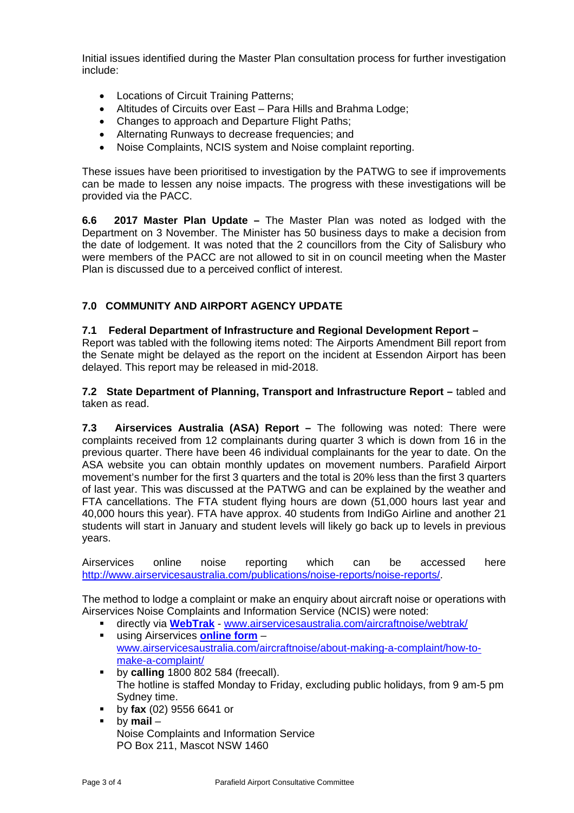Initial issues identified during the Master Plan consultation process for further investigation include:

- Locations of Circuit Training Patterns;
- Altitudes of Circuits over East Para Hills and Brahma Lodge;
- Changes to approach and Departure Flight Paths;
- Alternating Runways to decrease frequencies; and
- Noise Complaints, NCIS system and Noise complaint reporting.

These issues have been prioritised to investigation by the PATWG to see if improvements can be made to lessen any noise impacts. The progress with these investigations will be provided via the PACC.

**6.6 2017 Master Plan Update –** The Master Plan was noted as lodged with the Department on 3 November. The Minister has 50 business days to make a decision from the date of lodgement. It was noted that the 2 councillors from the City of Salisbury who were members of the PACC are not allowed to sit in on council meeting when the Master Plan is discussed due to a perceived conflict of interest.

# **7.0 COMMUNITY AND AIRPORT AGENCY UPDATE**

# **7.1 Federal Department of Infrastructure and Regional Development Report –**

Report was tabled with the following items noted: The Airports Amendment Bill report from the Senate might be delayed as the report on the incident at Essendon Airport has been delayed. This report may be released in mid-2018.

**7.2 State Department of Planning, Transport and Infrastructure Report –** tabled and taken as read.

**7.3 Airservices Australia (ASA) Report –** The following was noted: There were complaints received from 12 complainants during quarter 3 which is down from 16 in the previous quarter. There have been 46 individual complainants for the year to date. On the ASA website you can obtain monthly updates on movement numbers. Parafield Airport movement's number for the first 3 quarters and the total is 20% less than the first 3 quarters of last year. This was discussed at the PATWG and can be explained by the weather and FTA cancellations. The FTA student flying hours are down (51,000 hours last year and 40,000 hours this year). FTA have approx. 40 students from IndiGo Airline and another 21 students will start in January and student levels will likely go back up to levels in previous years.

Airservices online noise reporting which can be accessed here http://www.airservicesaustralia.com/publications/noise-reports/noise-reports/.

The method to lodge a complaint or make an enquiry about aircraft noise or operations with Airservices Noise Complaints and Information Service (NCIS) were noted:

- directly via **WebTrak** www.airservicesaustralia.com/aircraftnoise/webtrak/ using Airservices **online form** –
- www.airservicesaustralia.com/aircraftnoise/about-making-a-complaint/how-tomake-a-complaint/
- by calling  $\overline{1800802}$  584 (freecall). The hotline is staffed Monday to Friday, excluding public holidays, from 9 am-5 pm Sydney time.
- by **fax** (02) 9556 6641 or
- by **mail** Noise Complaints and Information Service PO Box 211, Mascot NSW 1460